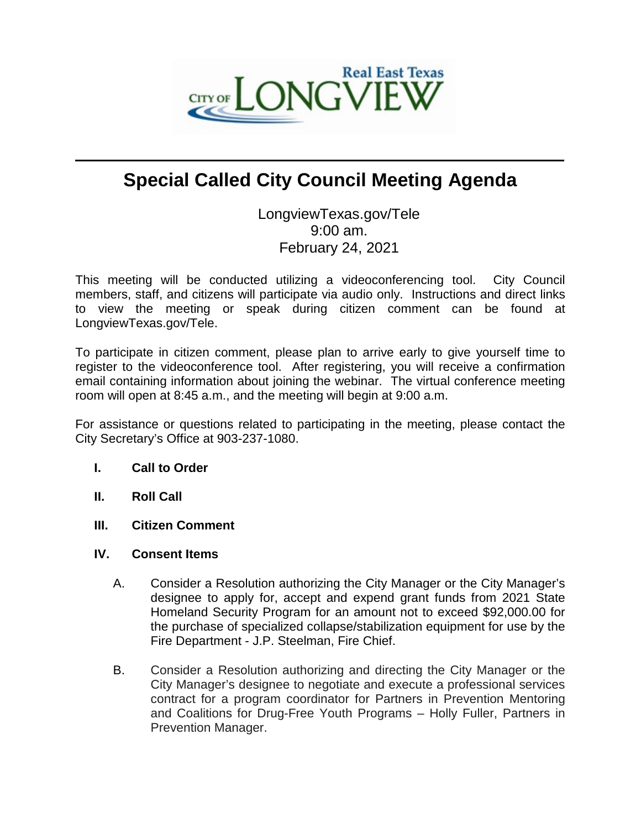

# **Special Called City Council Meeting Agenda**

 $\mathcal{L}_\mathcal{L} = \mathcal{L}_\mathcal{L}$  , where  $\mathcal{L}_\mathcal{L} = \mathcal{L}_\mathcal{L}$  ,  $\mathcal{L}_\mathcal{L} = \mathcal{L}_\mathcal{L}$  ,  $\mathcal{L}_\mathcal{L} = \mathcal{L}_\mathcal{L}$  ,  $\mathcal{L}_\mathcal{L} = \mathcal{L}_\mathcal{L}$ 

LongviewTexas.gov/Tele 9:00 am. February 24, 2021

This meeting will be conducted utilizing a videoconferencing tool. City Council members, staff, and citizens will participate via audio only. Instructions and direct links to view the meeting or speak during citizen comment can be found at LongviewTexas.gov/Tele.

To participate in citizen comment, please plan to arrive early to give yourself time to register to the videoconference tool. After registering, you will receive a confirmation email containing information about joining the webinar. The virtual conference meeting room will open at 8:45 a.m., and the meeting will begin at 9:00 a.m.

For assistance or questions related to participating in the meeting, please contact the City Secretary's Office at 903-237-1080.

### **I. Call to Order**

- **II. Roll Call**
- **III. Citizen Comment**
- **IV. Consent Items**
	- A. Consider a Resolution authorizing the City Manager or the City Manager's designee to apply for, accept and expend grant funds from 2021 State Homeland Security Program for an amount not to exceed \$92,000.00 for the purchase of specialized collapse/stabilization equipment for use by the Fire Department - J.P. Steelman, Fire Chief.
	- B. Consider a Resolution authorizing and directing the City Manager or the City Manager's designee to negotiate and execute a professional services contract for a program coordinator for Partners in Prevention Mentoring and Coalitions for Drug-Free Youth Programs – Holly Fuller, Partners in Prevention Manager.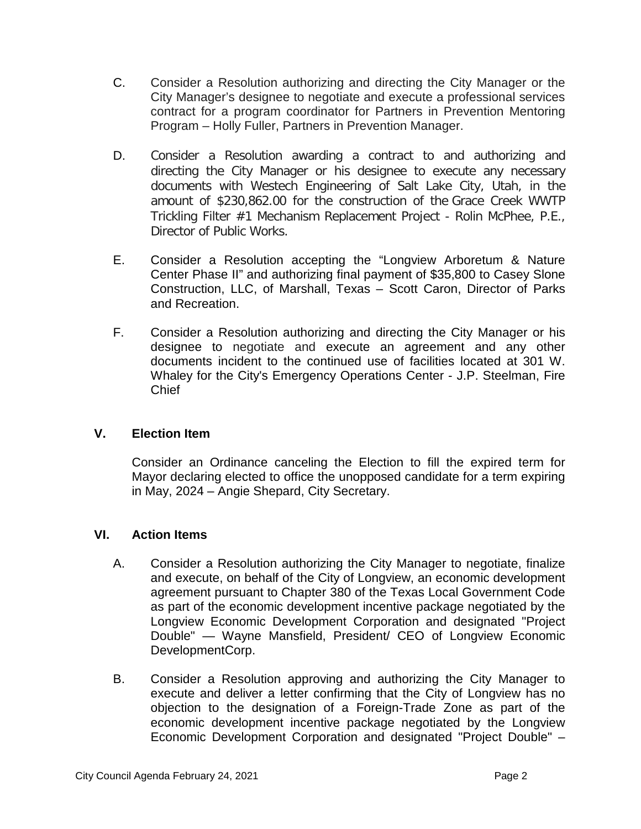- C. Consider a Resolution authorizing and directing the City Manager or the City Manager's designee to negotiate and execute a professional services contract for a program coordinator for Partners in Prevention Mentoring Program – Holly Fuller, Partners in Prevention Manager.
- D. Consider a Resolution awarding a contract to and authorizing and directing the City Manager or his designee to execute any necessary documents with Westech Engineering of Salt Lake City, Utah, in the amount of \$230,862.00 for the construction of the Grace Creek WWTP Trickling Filter #1 Mechanism Replacement Project - Rolin McPhee, P.E., Director of Public Works.
- E. Consider a Resolution accepting the "Longview Arboretum & Nature Center Phase II" and authorizing final payment of \$35,800 to Casey Slone Construction, LLC, of Marshall, Texas – Scott Caron, Director of Parks and Recreation.
- F. Consider a Resolution authorizing and directing the City Manager or his designee to negotiate and execute an agreement and any other documents incident to the continued use of facilities located at 301 W. Whaley for the City's Emergency Operations Center - J.P. Steelman, Fire Chief

## **V. Election Item**

Consider an Ordinance canceling the Election to fill the expired term for Mayor declaring elected to office the unopposed candidate for a term expiring in May, 2024 – Angie Shepard, City Secretary.

### **VI. Action Items**

- A. Consider a Resolution authorizing the City Manager to negotiate, finalize and execute, on behalf of the City of Longview, an economic development agreement pursuant to Chapter 380 of the Texas Local Government Code as part of the economic development incentive package negotiated by the Longview Economic Development Corporation and designated "Project Double" — Wayne Mansfield, President/ CEO of Longview Economic DevelopmentCorp.
- B. Consider a Resolution approving and authorizing the City Manager to execute and deliver a letter confirming that the City of Longview has no objection to the designation of a Foreign-Trade Zone as part of the economic development incentive package negotiated by the Longview Economic Development Corporation and designated "Project Double" –